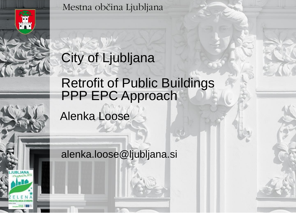

Mestna občina Ljubljana

#### City of Ljubljana

#### Retrofit of Public Buildings PPP EPC Approach

Alenka Loose

alenka.loose@ljubljana.si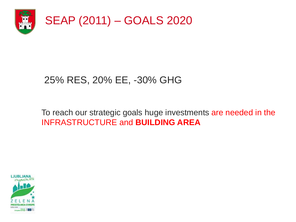

#### 25% RES, 20% EE, -30% GHG

#### To reach our strategic goals huge investments are needed in the INFRASTRUCTURE and **BUILDING AREA**

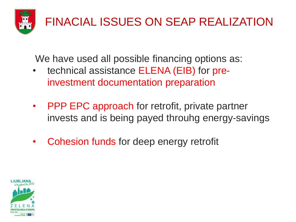

We have used all possible financing options as:

- technical assistance ELENA (EIB) for preinvestment documentation preparation
- PPP EPC approach for retrofit, private partner invests and is being payed throuhg energy-savings
- Cohesion funds for deep energy retrofit

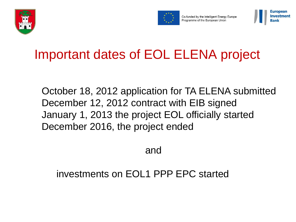



Co-funded by the Intelligent Energy Europe Programme of the European Union



#### Important dates of EOL ELENA project

October 18, 2012 application for TA ELENA submitted December 12, 2012 contract with EIB signed January 1, 2013 the project EOL officially started December 2016, the project ended

and

#### investments on EOL1 PPP EPC started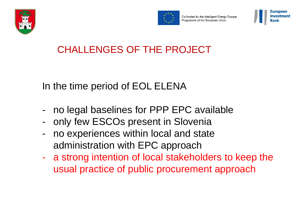



Co-funded by the Intelligent Energy Europe Programme of the European Union



#### CHALLENGES OF THE PROJECT

In the time period of EOL ELENA

- no legal baselines for PPP EPC available
- only few ESCOs present in Slovenia
- no experiences within local and state administration with EPC approach
- a strong intention of local stakeholders to keep the usual practice of public procurement approach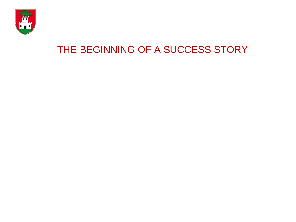

#### THE BEGINNING OF A SUCCESS STORY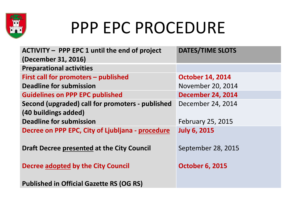

### PPP EPC PROCEDURE

| <b>ACTIVITY - PPP EPC 1 until the end of project</b> | <b>DATES/TIME SLOTS</b>  |
|------------------------------------------------------|--------------------------|
| (December 31, 2016)                                  |                          |
| <b>Preparational activities</b>                      |                          |
| First call for promoters - published                 | <b>October 14, 2014</b>  |
| <b>Deadline for submission</b>                       | November 20, 2014        |
| <b>Guidelines on PPP EPC published</b>               | <b>December 24, 2014</b> |
| Second (upgraded) call for promoters - published     | December 24, 2014        |
| (40 buildings added)                                 |                          |
| <b>Deadline for submission</b>                       | <b>February 25, 2015</b> |
| Decree on PPP EPC, City of Ljubljana - procedure     | <b>July 6, 2015</b>      |
|                                                      |                          |
| Draft Decree presented at the City Council           | September 28, 2015       |
|                                                      |                          |
| Decree adopted by the City Council                   | <b>October 6, 2015</b>   |
|                                                      |                          |
| <b>Published in Official Gazette RS (OG RS)</b>      |                          |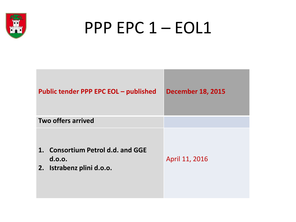

## PPP EPC 1 – EOL1

| <b>Public tender PPP EPC EOL - published</b>                             | <b>December 18, 2015</b> |
|--------------------------------------------------------------------------|--------------------------|
| Two offers arrived                                                       |                          |
| 1. Consortium Petrol d.d. and GGE<br>d.o.o.<br>2. Istrabenz plini d.o.o. | April 11, 2016           |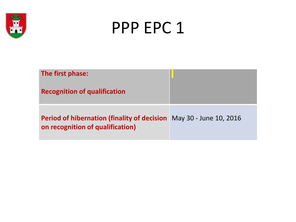



| The first phase:<br><b>Recognition of qualification</b>                                                       |  |
|---------------------------------------------------------------------------------------------------------------|--|
| <b>Period of hibernation (finality of decision</b> May 30 - June 10, 2016<br>on recognition of qualification) |  |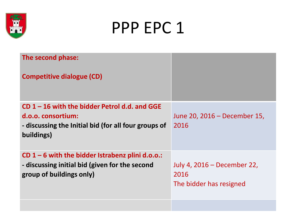

### PPP EPC 1

| The second phase:                                                                                                                           |                                                                |
|---------------------------------------------------------------------------------------------------------------------------------------------|----------------------------------------------------------------|
| <b>Competitive dialogue (CD)</b>                                                                                                            |                                                                |
| $CD$ 1 – 16 with the bidder Petrol d.d. and GGE<br>d.o.o. consortium:<br>- discussing the Initial bid (for all four groups of<br>buildings) | June 20, 2016 – December 15,<br>2016                           |
| CD $1 - 6$ with the bidder Istrabenz plini d.o.o.:<br>- discussing initial bid (given for the second<br>group of buildings only)            | July 4, 2016 – December 22,<br>2016<br>The bidder has resigned |
|                                                                                                                                             |                                                                |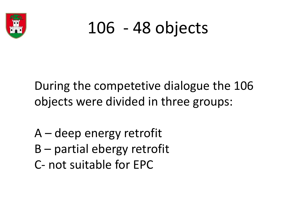

## 106 - 48 objects

During the competetive dialogue the 106 objects were divided in three groups:

- A deep energy retrofit
- B partial ebergy retrofit
- C- not suitable for EPC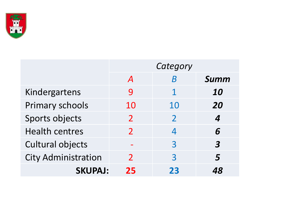

|                            | Category                |                |                         |
|----------------------------|-------------------------|----------------|-------------------------|
|                            | $\boldsymbol{A}$        | R              | <b>Summ</b>             |
| Kindergartens              | 9                       | 1              | 10                      |
| <b>Primary schools</b>     | 10                      | 10             | 20                      |
| Sports objects             | $\overline{\mathbf{2}}$ | $\mathcal{P}$  | 4                       |
| <b>Health centres</b>      | $\mathcal{P}$           | 4              | 6                       |
| <b>Cultural objects</b>    |                         | $\overline{3}$ | $\overline{\mathbf{3}}$ |
| <b>City Administration</b> | $\mathcal{P}$           | 3              | 5                       |
| <b>SKUPAJ:</b>             | 25                      | 23             |                         |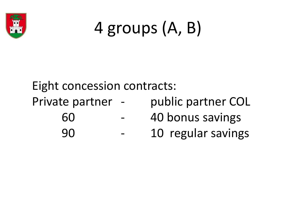

# 4 groups (A, B)

Eight concession contracts:

Private partner - public partner COL 60 - 40 bonus savings

- 
- 90 10 regular savings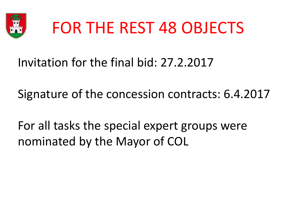

## FOR THE REST 48 OBJECTS

Invitation for the final bid: 27.2.2017

Signature of the concession contracts: 6.4.2017

For all tasks the special expert groups were nominated by the Mayor of COL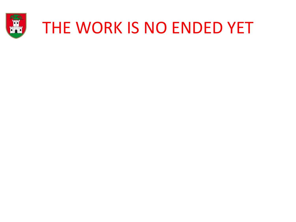

### THE WORK IS NO ENDED YET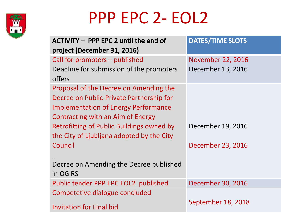

## PPP EPC 2- EOL2

| ACTIVITY - PPP EPC 2 until the end of       | <b>DATES/TIME SLOTS</b>  |
|---------------------------------------------|--------------------------|
| project (December 31, 2016)                 |                          |
| Call for promoters – published              | <b>November 22, 2016</b> |
| Deadline for submission of the promoters    | December 13, 2016        |
| offers                                      |                          |
| Proposal of the Decree on Amending the      |                          |
| Decree on Public-Private Partnership for    |                          |
| <b>Implementation of Energy Performance</b> |                          |
| Contracting with an Aim of Energy           |                          |
| Retrofitting of Public Buildings owned by   | December 19, 2016        |
| the City of Ljubljana adopted by the City   |                          |
| Council                                     | December 23, 2016        |
|                                             |                          |
| Decree on Amending the Decree published     |                          |
| in OG RS                                    |                          |
| Public tender PPP EPC EOL2 published        | December 30, 2016        |
| Competetive dialogue concluded              |                          |
| <b>Invitation for Final bid</b>             | September 18, 2018       |
|                                             |                          |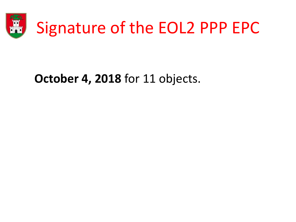

#### **October 4, 2018** for 11 objects.